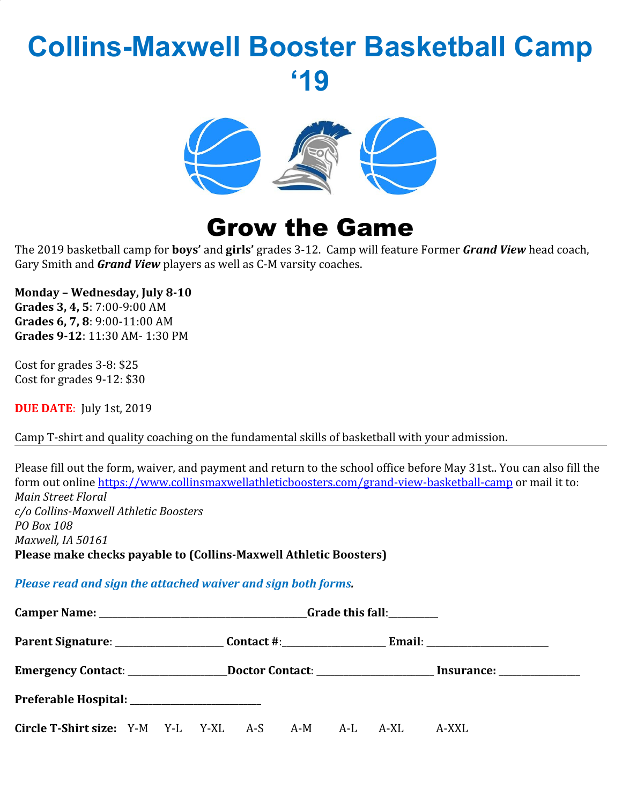## **Collins-Maxwell Booster Basketball Camp '19**



## Grow the Game

The 2019 basketball camp for **boys'** and **girls'** grades 3-12. Camp will feature Former *Grand View* head coach, Gary Smith and *Grand View* players as well as C-M varsity coaches.

**Monday – Wednesday, July 8-10**

**Grades 3, 4, 5**: 7:00-9:00 AM **Grades 6, 7, 8**: 9:00-11:00 AM **Grades 9-12**: 11:30 AM- 1:30 PM

Cost for grades 3-8: \$25 Cost for grades 9-12: \$30

**DUE DATE**: July 1st, 2019

Camp T-shirt and quality coaching on the fundamental skills of basketball with your admission.

Please fill out the form, waiver, and payment and return to the school office before May 31st.. You can also fill the form out online <https://www.collinsmaxwellathleticboosters.com/grand-view-basketball-camp>or mail it to: *Main Street Floral c/o Collins-Maxwell Athletic Boosters PO Box 108 Maxwell, IA 50161* **Please make checks payable to (Collins-Maxwell Athletic Boosters)**

*Please read and sign the attached waiver and sign both forms.*

|                                                    |  |  |  |  |  |  |  | Emergency Contact: _____________________Doctor Contact: _________________________ Insurance: ________________ |
|----------------------------------------------------|--|--|--|--|--|--|--|---------------------------------------------------------------------------------------------------------------|
| Preferable Hospital: ________________________      |  |  |  |  |  |  |  |                                                                                                               |
| Circle T-Shirt size: Y-M Y-L Y-XL A-S A-M A-L A-XL |  |  |  |  |  |  |  | A-XXL                                                                                                         |